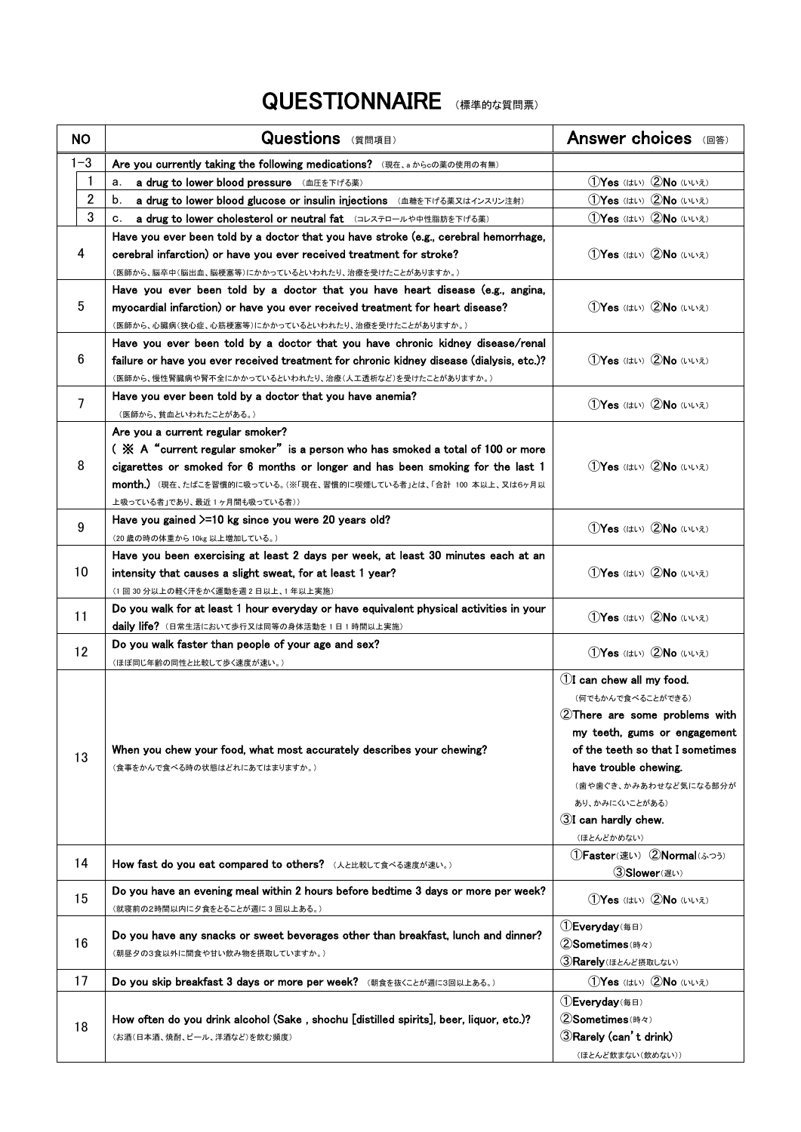## QUESTIONNAIRE (標準的な質問票)

| <b>NO</b>      | <b>Questions</b> (質問項目)                                                                                                                                                    | Answer choices ( $\text{max}$ )                                                                                |
|----------------|----------------------------------------------------------------------------------------------------------------------------------------------------------------------------|----------------------------------------------------------------------------------------------------------------|
| $1 - 3$        | Are you currently taking the following medications? (現在、aからcの薬の使用の有無)                                                                                                      |                                                                                                                |
| 1              | a drug to lower blood pressure (血圧を下げる薬)<br>a.                                                                                                                             | 1) Yes (はい) 2No (いいえ)                                                                                          |
| $\overline{2}$ | b.<br>a drug to lower blood glucose or insulin injections (血糖を下げる薬又はインスリン注射)                                                                                               | 1) Yes (はい) 2No (いいえ)                                                                                          |
| 3              | a drug to lower cholesterol or neutral fat (コレステロールや中性脂肪を下げる薬)<br>c.                                                                                                       | 1) Yes (はい) 2No (いいえ)                                                                                          |
| 4              | Have you ever been told by a doctor that you have stroke (e.g., cerebral hemorrhage,<br>cerebral infarction) or have you ever received treatment for stroke?               | 1Yes (はい) 2No (いいえ)                                                                                            |
|                | (医師から、脳卒中(脳出血、脳梗塞等)にかかっているといわれたり、治療を受けたことがありますか。)                                                                                                                          |                                                                                                                |
| 5              | Have you ever been told by a doctor that you have heart disease (e.g., angina,                                                                                             | 1Yes (はい) 2No (いいえ)                                                                                            |
|                | myocardial infarction) or have you ever received treatment for heart disease?                                                                                              |                                                                                                                |
|                | (医師から、心臓病(狭心症、心筋梗塞等)にかかっているといわれたり、治療を受けたことがありますか。)                                                                                                                         |                                                                                                                |
| 6              | Have you ever been told by a doctor that you have chronic kidney disease/renal<br>failure or have you ever received treatment for chronic kidney disease (dialysis, etc.)? | 1Yes (はい) 2No (いいえ)                                                                                            |
|                | (医師から、慢性腎臓病や腎不全にかかっているといわれたり、治療(人工透析など)を受けたことがありますか。)                                                                                                                      |                                                                                                                |
| $\overline{7}$ | Have you ever been told by a doctor that you have anemia?<br>(医師から、貧血といわれたことがある。)                                                                                          | 1Yes (はい) 2No (いいえ)                                                                                            |
|                | Are you a current regular smoker?                                                                                                                                          |                                                                                                                |
|                | ( $\mathbb X$ A "current regular smoker" is a person who has smoked a total of 100 or more                                                                                 |                                                                                                                |
| 8              | cigarettes or smoked for 6 months or longer and has been smoking for the last 1                                                                                            | 1Yes (はい) 2No (いいえ)                                                                                            |
|                | month.) (現在、たばこを習慣的に吸っている。(※「現在、習慣的に喫煙している者」とは、「合計 100 本以上、又は6ヶ月以                                                                                                          |                                                                                                                |
|                | 上吸っている者」であり、最近1ヶ月間も吸っている者))                                                                                                                                                |                                                                                                                |
| 9              | Have you gained $>=10$ kg since you were 20 years old?                                                                                                                     | 1Yes (はい) 2No (いいえ)                                                                                            |
|                | (20歳の時の体重から10kg 以上増加している。)                                                                                                                                                 |                                                                                                                |
|                | Have you been exercising at least 2 days per week, at least 30 minutes each at an                                                                                          |                                                                                                                |
| 10             | intensity that causes a slight sweat, for at least 1 year?                                                                                                                 | 1Yes (はい) 2No (いいえ)                                                                                            |
|                | (1回30分以上の軽く汗をかく運動を週2日以上、1年以上実施)                                                                                                                                            |                                                                                                                |
| 11             | Do you walk for at least 1 hour everyday or have equivalent physical activities in your                                                                                    | 1Yes (はい) 2No (いいえ)                                                                                            |
|                | daily life? (日常生活において歩行又は同等の身体活動を1日1時間以上実施)                                                                                                                                |                                                                                                                |
| 12             | Do you walk faster than people of your age and sex?                                                                                                                        | 1) Yes (はい) 2No (いいえ)                                                                                          |
|                | (ほぼ同じ年齢の同性と比較して歩く速度が速い。)                                                                                                                                                   |                                                                                                                |
| 13             | When you chew your food, what most accurately describes your chewing?<br>(食事をかんで食べる時の状態はどれにあてはまりますか。)                                                                      | 1) can chew all my food.<br>(何でもかんで食べることができる)<br>2There are some problems with<br>my teeth, gums or engagement |
|                |                                                                                                                                                                            | of the teeth so that I sometimes                                                                               |
|                |                                                                                                                                                                            | have trouble chewing.                                                                                          |
|                |                                                                                                                                                                            | (歯や歯ぐき、かみあわせなど気になる部分が                                                                                          |
|                |                                                                                                                                                                            | あり、かみにくいことがある)                                                                                                 |
|                |                                                                                                                                                                            | 3I can hardly chew.                                                                                            |
|                |                                                                                                                                                                            | (ほとんどかめない)                                                                                                     |
| 14             | How fast do you eat compared to others? (人と比較して食べる速度が速い。)                                                                                                                  | 1Faster(速い) 2Normal(ふつう)<br>3)Slower(遅い)                                                                       |
| 15             | Do you have an evening meal within 2 hours before bedtime 3 days or more per week?<br>(就寝前の2時間以内に夕食をとることが週に3回以上ある。)                                                        | 1Yes (はい) 2No (いいえ)                                                                                            |
|                | Do you have any snacks or sweet beverages other than breakfast, lunch and dinner?<br>(朝昼夕の3食以外に間食や甘い飲み物を摂取していますか。)                                                         | 1 Everyday(每日)                                                                                                 |
| 16             |                                                                                                                                                                            | $(2)$ Sometimes $(E_7 \wedge E_8)$                                                                             |
|                |                                                                                                                                                                            | 3 Rarely (ほとんど摂取しない)                                                                                           |
| 17             | Do you skip breakfast 3 days or more per week? (朝食を抜くことが週に3回以上ある。)                                                                                                         | 1) Yes (はい) 2No (いいえ)                                                                                          |
| 18             | How often do you drink alcohol (Sake, shochu [distilled spirits], beer, liquor, etc.)?<br>(お酒(日本酒、焼酎、ビール、洋酒など)を飲む頻度)                                                       | (1) <b>Everyday</b> (毎日)                                                                                       |
|                |                                                                                                                                                                            | 2Sometimes (時々)                                                                                                |
|                |                                                                                                                                                                            | 3 Rarely (can't drink)                                                                                         |
|                |                                                                                                                                                                            | (ほとんど飲まない(飲めない))                                                                                               |